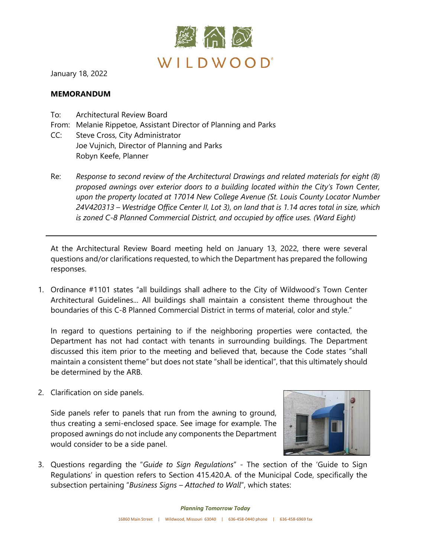

January 18, 2022

## **MEMORANDUM**

- To: Architectural Review Board
- From: Melanie Rippetoe, Assistant Director of Planning and Parks
- CC: Steve Cross, City Administrator Joe Vujnich, Director of Planning and Parks Robyn Keefe, Planner
- Re: *Response to second review of the Architectural Drawings and related materials for eight (8) proposed awnings over exterior doors to a building located within the City's Town Center, upon the property located at 17014 New College Avenue (St. Louis County Locator Number 24V420313 – Westridge Office Center II, Lot 3), on land that is 1.14 acres total in size, which is zoned C-8 Planned Commercial District, and occupied by office uses. (Ward Eight)*

At the Architectural Review Board meeting held on January 13, 2022, there were several questions and/or clarifications requested, to which the Department has prepared the following responses.

1. Ordinance #1101 states "all buildings shall adhere to the City of Wildwood's Town Center Architectural Guidelines... All buildings shall maintain a consistent theme throughout the boundaries of this C-8 Planned Commercial District in terms of material, color and style."

In regard to questions pertaining to if the neighboring properties were contacted, the Department has not had contact with tenants in surrounding buildings. The Department discussed this item prior to the meeting and believed that, because the Code states "shall maintain a consistent theme" but does not state "shall be identical", that this ultimately should be determined by the ARB.

2. Clarification on side panels.

Side panels refer to panels that run from the awning to ground, thus creating a semi-enclosed space. See image for example. The proposed awnings do not include any components the Department would consider to be a side panel.



3. Questions regarding the "*Guide to Sign Regulations*" - The section of the 'Guide to Sign Regulations' in question refers to Section 415.420.A. of the Municipal Code, specifically the subsection pertaining "*Business Signs – Attached to Wall*", which states: